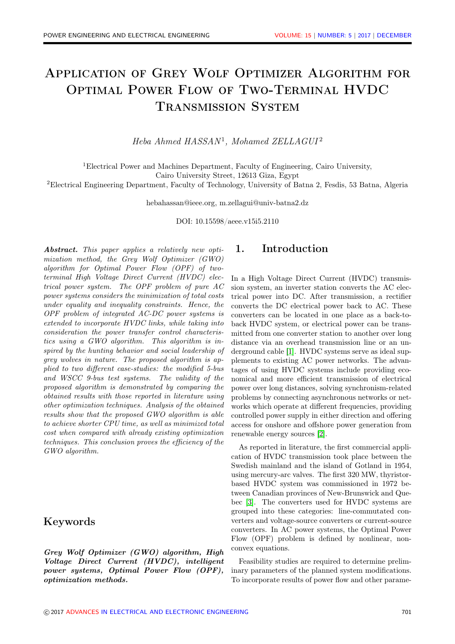# Application of Grey Wolf Optimizer Algorithm for Optimal Power Flow of Two-Terminal HVDC Transmission System

Heba Ahmed HASSAN<sup>1</sup>, Mohamed ZELLAGUI<sup>2</sup>

<sup>1</sup>Electrical Power and Machines Department, Faculty of Engineering, Cairo University,

Cairo University Street, 12613 Giza, Egypt

<sup>2</sup>Electrical Engineering Department, Faculty of Technology, University of Batna 2, Fesdis, 53 Batna, Algeria

hebahassan@ieee.org, m.zellagui@univ-batna2.dz

DOI: 10.15598/aeee.v15i5.2110

Abstract. This paper applies a relatively new optimization method, the Grey Wolf Optimizer (GWO) algorithm for Optimal Power Flow (OPF) of twoterminal High Voltage Direct Current (HVDC) electrical power system. The OPF problem of pure AC power systems considers the minimization of total costs under equality and inequality constraints. Hence, the OPF problem of integrated AC-DC power systems is extended to incorporate HVDC links, while taking into consideration the power transfer control characteristics using a GWO algorithm. This algorithm is inspired by the hunting behavior and social leadership of grey wolves in nature. The proposed algorithm is applied to two different case-studies: the modified 5-bus and WSCC 9-bus test systems. The validity of the proposed algorithm is demonstrated by comparing the obtained results with those reported in literature using other optimization techniques. Analysis of the obtained results show that the proposed GWO algorithm is able to achieve shorter CPU time, as well as minimized total cost when compared with already existing optimization techniques. This conclusion proves the efficiency of the GWO algorithm.

### Keywords

Grey Wolf Optimizer (GWO) algorithm, High Voltage Direct Current (HVDC), intelligent power systems, Optimal Power Flow (OPF), optimization methods.

### 1. Introduction

In a High Voltage Direct Current (HVDC) transmission system, an inverter station converts the AC electrical power into DC. After transmission, a rectifier converts the DC electrical power back to AC. These converters can be located in one place as a back-toback HVDC system, or electrical power can be transmitted from one converter station to another over long distance via an overhead transmission line or an underground cable [\[1\]](#page-8-0). HVDC systems serve as ideal supplements to existing AC power networks. The advantages of using HVDC systems include providing economical and more efficient transmission of electrical power over long distances, solving synchronism-related problems by connecting asynchronous networks or networks which operate at different frequencies, providing controlled power supply in either direction and offering access for onshore and offshore power generation from renewable energy sources [\[2\]](#page-8-1).

As reported in literature, the first commercial application of HVDC transmission took place between the Swedish mainland and the island of Gotland in 1954, using mercury-arc valves. The first 320 MW, thyristorbased HVDC system was commissioned in 1972 between Canadian provinces of New-Brunswick and Quebec [\[3\]](#page-8-2). The converters used for HVDC systems are grouped into these categories: line-commutated converters and voltage-source converters or current-source converters. In AC power systems, the Optimal Power Flow (OPF) problem is defined by nonlinear, nonconvex equations.

Feasibility studies are required to determine preliminary parameters of the planned system modifications. To incorporate results of power flow and other parame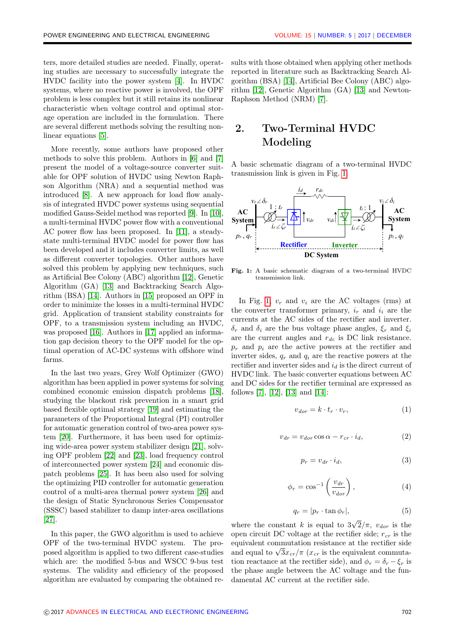ters, more detailed studies are needed. Finally, operating studies are necessary to successfully integrate the HVDC facility into the power system [\[4\]](#page-8-3). In HVDC systems, where no reactive power is involved, the OPF problem is less complex but it still retains its nonlinear characteristic when voltage control and optimal storage operation are included in the formulation. There are several different methods solving the resulting nonlinear equations [\[5\]](#page-8-4).

More recently, some authors have proposed other methods to solve this problem. Authors in [\[6\]](#page-8-5) and [\[7\]](#page-9-0) present the model of a voltage-source converter suitable for OPF solution of HVDC using Newton Raphson Algorithm (NRA) and a sequential method was introduced [\[8\]](#page-9-1). A new approach for load flow analysis of integrated HVDC power systems using sequential modified Gauss-Seidel method was reported [\[9\]](#page-9-2). In [\[10\]](#page-9-3), a multi-terminal HVDC power flow with a conventional AC power flow has been proposed. In [\[11\]](#page-9-4), a steadystate multi-terminal HVDC model for power flow has been developed and it includes converter limits, as well as different converter topologies. Other authors have solved this problem by applying new techniques, such as Artificial Bee Colony (ABC) algorithm [\[12\]](#page-9-5), Genetic Algorithm (GA) [\[13\]](#page-9-6) and Backtracking Search Algorithm (BSA) [\[14\]](#page-9-7). Authors in [\[15\]](#page-9-8) proposed an OPF in order to minimize the losses in a multi-terminal HVDC grid. Application of transient stability constraints for OPF, to a transmission system including an HVDC, was proposed [\[16\]](#page-9-9). Authors in [\[17\]](#page-9-10) applied an information gap decision theory to the OPF model for the optimal operation of AC-DC systems with offshore wind farms.

In the last two years, Grey Wolf Optimizer (GWO) algorithm has been applied in power systems for solving combined economic emission dispatch problems [\[18\]](#page-9-11), studying the blackout risk prevention in a smart grid based flexible optimal strategy [\[19\]](#page-9-12) and estimating the parameters of the Proportional Integral (PI) controller for automatic generation control of two-area power system [\[20\]](#page-9-13). Furthermore, it has been used for optimizing wide-area power system stabilizer design [\[21\]](#page-9-14), solving OPF problem [\[22\]](#page-9-15) and [\[23\]](#page-9-16), load frequency control of interconnected power system [\[24\]](#page-10-0) and economic dispatch problems [\[25\]](#page-10-1). It has been also used for solving the optimizing PID controller for automatic generation control of a multi-area thermal power system [\[26\]](#page-10-2) and the design of Static Synchronous Series Compensator (SSSC) based stabilizer to damp inter-area oscillations [\[27\]](#page-10-3).

In this paper, the GWO algorithm is used to achieve OPF of the two-terminal HVDC system. The proposed algorithm is applied to two different case-studies which are: the modified 5-bus and WSCC 9-bus test systems. The validity and efficiency of the proposed algorithm are evaluated by comparing the obtained results with those obtained when applying other methods reported in literature such as Backtracking Search Algorithm (BSA) [\[14\]](#page-9-7), Artificial Bee Colony (ABC) algorithm [\[12\]](#page-9-5), Genetic Algorithm (GA) [\[13\]](#page-9-6) and Newton-Raphson Method (NRM) [\[7\]](#page-9-0).

## 2. Two-Terminal HVDC Modeling

A basic schematic diagram of a two-terminal HVDC transmission link is given in Fig. [1.](#page-1-0)

<span id="page-1-0"></span>

Fig. 1: A basic schematic diagram of a two-terminal HVDC transmission link.

In Fig. [1,](#page-1-0)  $v_r$  and  $v_i$  are the AC voltages (rms) at the converter transformer primary,  $i_r$  and  $i_i$  are the currents at the AC sides of the rectifier and inverter.  $\delta_r$  and  $\delta_i$  are the bus voltage phase angles,  $\xi_r$  and  $\xi_i$ are the current angles and  $r_{dc}$  is DC link resistance.  $p_r$  and  $p_i$  are the active powers at the rectifier and inverter sides,  $q_r$  and  $q_i$  are the reactive powers at the rectifier and inverter sides and  $i_d$  is the direct current of HVDC link. The basic converter equations between AC and DC sides for the rectifier terminal are expressed as follows [\[7\]](#page-9-0), [\[12\]](#page-9-5), [\[13\]](#page-9-6) and [\[14\]](#page-9-7):

$$
v_{dor} = k \cdot t_r \cdot v_r,\tag{1}
$$

$$
v_{dr} = v_{dor} \cos \alpha - r_{cr} \cdot i_d, \tag{2}
$$

$$
p_r = v_{dr} \cdot i_d,\tag{3}
$$

$$
\phi_r = \cos^{-1}\left(\frac{v_{dr}}{v_{dor}}\right),\tag{4}
$$

$$
q_r = |p_r \cdot \tan \phi_r|,\tag{5}
$$

where the constant  $k$  is equal to 3 √  $2/\pi$ ,  $v_{dor}$  is the open circuit DC voltage at the rectifier side;  $r_{cr}$  is the equivalent commutation resistance at the rectifier side equivalent commutation resistance at the rectiner side<br>and equal to  $\sqrt{3x_{cr}}/\pi$  ( $x_{cr}$  is the equivalent commutation reactance at the rectifier side), and  $\phi_r = \delta_r - \xi_r$  is the phase angle between the AC voltage and the fundamental AC current at the rectifier side.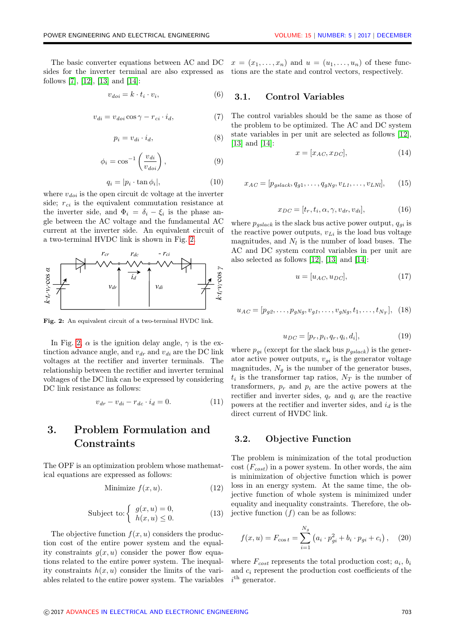$$
v_{doi} = k \cdot t_i \cdot v_i,\tag{6}
$$

$$
v_{di} = v_{doi} \cos \gamma - r_{ci} \cdot i_d, \tag{7}
$$

$$
p_i = v_{di} \cdot i_d,\tag{8}
$$

$$
\phi_i = \cos^{-1}\left(\frac{v_{di}}{v_{doi}}\right),\tag{9}
$$

 $(9)$ 

$$
q_i = |p_i \cdot \tan \phi_i|,\tag{10}
$$

where  $v_{doi}$  is the open circuit dc voltage at the inverter side;  $r_{ci}$  is the equivalent commutation resistance at the inverter side, and  $\Phi_i = \delta_i - \xi_i$  is the phase angle between the AC voltage and the fundamental AC current at the inverter side. An equivalent circuit of a two-terminal HVDC link is shown in Fig. [2.](#page-2-0)

<span id="page-2-0"></span>

Fig. 2: An equivalent circuit of a two-terminal HVDC link.

In Fig. [2,](#page-2-0)  $\alpha$  is the ignition delay angle,  $\gamma$  is the extinction advance angle, and  $v_{dr}$  and  $v_{di}$  are the DC link voltages at the rectifier and inverter terminals. The relationship between the rectifier and inverter terminal voltages of the DC link can be expressed by considering DC link resistance as follows:

$$
v_{dr} - v_{di} - r_{dc} \cdot i_d = 0. \tag{11}
$$

## 3. Problem Formulation and Constraints

The OPF is an optimization problem whose mathematical equations are expressed as follows:

$$
Minimize f(x, u). \tag{12}
$$

$$
\text{Subject to:} \begin{cases} g(x, u) = 0, \\ h(x, u) \le 0. \end{cases} \tag{13}
$$

The objective function  $f(x, u)$  considers the production cost of the entire power system and the equality constraints  $q(x, u)$  consider the power flow equations related to the entire power system. The inequality constraints  $h(x, u)$  consider the limits of the variables related to the entire power system. The variables

The basic converter equations between AC and DC  $x = (x_1, \ldots, x_n)$  and  $u = (u_1, \ldots, u_n)$  of these func-

#### 3.1. Control Variables

The control variables should be the same as those of the problem to be optimized. The AC and DC system state variables in per unit are selected as follows [\[12\]](#page-9-5), [\[13\]](#page-9-6) and [\[14\]](#page-9-7):

$$
x = [x_{AC}, x_{DC}], \tag{14}
$$

$$
x_{AC} = [p_{gslack}, q_{g1}, \dots, q_{gNg}, v_{L1}, \dots, v_{LNl}], \quad (15)
$$

$$
x_{DC} = [t_r, t_i, \alpha, \gamma, v_{dr}, v_{di}], \qquad (16)
$$

where  $p_{gslack}$  is the slack bus active power output,  $q_{qi}$  is the reactive power outputs,  $v_{Li}$  is the load bus voltage magnitudes, and  $N_l$  is the number of load buses. The AC and DC system control variables in per unit are also selected as follows [\[12\]](#page-9-5), [\[13\]](#page-9-6) and [\[14\]](#page-9-7):

$$
u = [u_{AC}, u_{DC}], \tag{17}
$$

$$
u_{AC} = [p_{g2}, \dots, p_{gNg}, v_{g1}, \dots, v_{gNg}, t_1, \dots, t_{N_T}], \quad (18)
$$

$$
u_{DC} = [p_r, p_i, q_r, q_i, d_i],
$$
\n(19)

where  $p_{gi}$  (except for the slack bus  $p_{gslack}$ ) is the generator active power outputs,  $v_{gi}$  is the generator voltage magnitudes,  $N_g$  is the number of the generator buses,  $t_i$  is the transformer tap ratios,  $N_T$  is the number of transformers,  $p_r$  and  $p_i$  are the active powers at the rectifier and inverter sides,  $q_r$  and  $q_i$  are the reactive powers at the rectifier and inverter sides, and  $i_d$  is the direct current of HVDC link.

#### 3.2. Objective Function

The problem is minimization of the total production cost  $(F_{cost})$  in a power system. In other words, the aim is minimization of objective function which is power loss in an energy system. At the same time, the objective function of whole system is minimized under equality and inequality constraints. Therefore, the objective function  $(f)$  can be as follows:

$$
f(x, u) = F_{\cos t} = \sum_{i=1}^{N_g} (a_i \cdot p_{gi}^2 + b_i \cdot p_{gi} + c_i), \quad (20)
$$

where  $F_{cost}$  represents the total production cost;  $a_i$ ,  $b_i$ and  $c_i$  represent the production cost coefficients of the  $i<sup>th</sup>$  generator.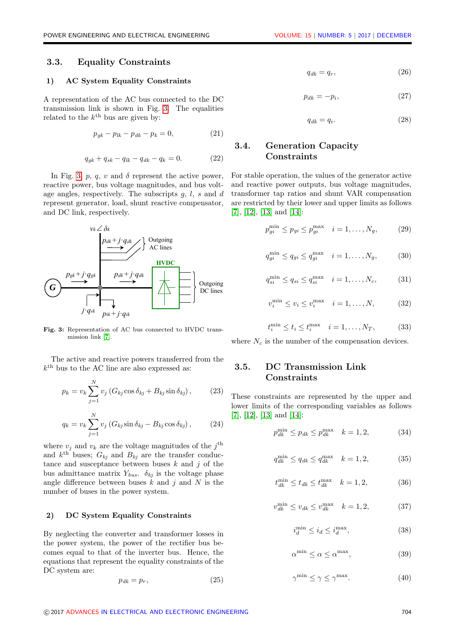#### 3.3. Equality Constraints

#### 1) AC System Equality Constraints

A representation of the AC bus connected to the DC transmission link is shown in Fig. [3.](#page-3-0) The equalities related to the  $k^{\text{th}}$  bus are given by:

$$
p_{gk} - p_{lk} - p_{dk} - p_k = 0,\t\t(21)
$$

$$
q_{gk} + q_{sk} - q_{lk} - q_{dk} - q_k = 0.
$$
 (22)

In Fig. [3,](#page-3-0) p, q, v and  $\delta$  represent the active power, reactive power, bus voltage magnitudes, and bus voltage angles, respectively. The subscripts  $g, l, s$  and d represent generator, load, shunt reactive compensator, and DC link, respectively.

<span id="page-3-0"></span>

Fig. 3: Representation of AC bus connected to HVDC transmission link [\[7\]](#page-9-0).

The active and reactive powers transferred from the  $k<sup>th</sup>$  bus to the AC line are also expressed as:

$$
p_k = v_k \sum_{j=1}^{N} v_j \left( G_{kj} \cos \delta_{kj} + B_{kj} \sin \delta_{kj} \right), \qquad (23)
$$

$$
q_k = v_k \sum_{j=1}^{N} v_j \left( G_{kj} \sin \delta_{kj} - B_{kj} \cos \delta_{kj} \right), \qquad (24)
$$

where  $v_j$  and  $v_k$  are the voltage magnitudes of the  $j^{\text{th}}$ and  $k^{\text{th}}$  buses;  $G_{kj}$  and  $B_{kj}$  are the transfer conductance and susceptance between buses  $k$  and  $j$  of the bus admittance matrix  $Y_{bus}$ .  $\delta_{ki}$  is the voltage phase angle difference between buses  $k$  and  $j$  and  $N$  is the number of buses in the power system.

#### 2) DC System Equality Constraints

By neglecting the converter and transformer losses in the power system, the power of the rectifier bus becomes equal to that of the inverter bus. Hence, the equations that represent the equality constraints of the DC system are:

$$
p_{dk} = p_r,\tag{25}
$$

$$
q_{dk} = q_r,\tag{26}
$$

$$
p_{dk} = -p_i,\tag{27}
$$

$$
q_{dk} = q_i. \tag{28}
$$

#### 3.4. Generation Capacity **Constraints**

For stable operation, the values of the generator active and reactive power outputs, bus voltage magnitudes, transformer tap ratios and shunt VAR compensation are restricted by their lower and upper limits as follows [\[7\]](#page-9-0), [\[12\]](#page-9-5), [\[13\]](#page-9-6) and [\[14\]](#page-9-7):

$$
p_{gi}^{\min} \le p_{gi} \le p_{gi}^{\max} \quad i = 1, \dots, N_g, \tag{29}
$$

$$
q_{gi}^{\min} \le q_{gi} \le q_{gi}^{\max} \quad i = 1, \dots, N_g, \tag{30}
$$

$$
q_{si}^{\min} \le q_{si} \le q_{si}^{\max} \quad i = 1, \dots, N_c,
$$
 (31)

$$
v_i^{\min} \le v_i \le v_i^{\max} \quad i = 1, \dots, N, \tag{32}
$$

$$
t_i^{\min} \le t_i \le t_i^{\max} \quad i = 1, \dots, N_T,
$$
 (33)

where  $N_c$  is the number of the compensation devices.

#### 3.5. DC Transmission Link **Constraints**

These constraints are represented by the upper and lower limits of the corresponding variables as follows [\[7\]](#page-9-0), [\[12\]](#page-9-5), [\[13\]](#page-9-6) and [\[14\]](#page-9-7):

$$
p_{dk}^{\min} \le p_{dk} \le p_{dk}^{\max} \quad k = 1, 2,
$$
 (34)

$$
q_{dk}^{\min} \le q_{dk} \le q_{dk}^{\max} \quad k = 1, 2, \tag{35}
$$

$$
t_{dk}^{\min} \le t_{dk} \le t_{dk}^{\max} \quad k = 1, 2, \tag{36}
$$

$$
v_{dk}^{\min} \le v_{dk} \le v_{dk}^{\max} \quad k = 1, 2,
$$
 (37)

$$
i_d^{\min} \le i_d \le i_d^{\max},\tag{38}
$$

$$
\alpha^{\min} \le \alpha \le \alpha^{\max},\tag{39}
$$

$$
\gamma^{\min} \le \gamma \le \gamma^{\max}.\tag{40}
$$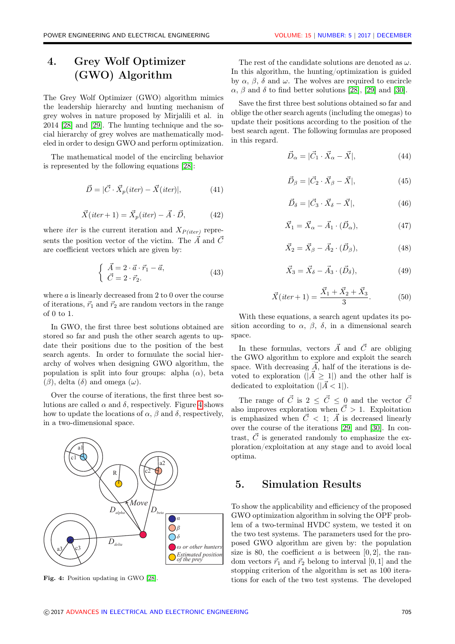## 4. Grey Wolf Optimizer (GWO) Algorithm

The Grey Wolf Optimizer (GWO) algorithm mimics the leadership hierarchy and hunting mechanism of grey wolves in nature proposed by Mirjalili et al. in 2014 [\[28\]](#page-10-4) and [\[29\]](#page-10-5). The hunting technique and the social hierarchy of grey wolves are mathematically modeled in order to design GWO and perform optimization.

The mathematical model of the encircling behavior is represented by the following equations [\[28\]](#page-10-4):

$$
\vec{D} = |\vec{C} \cdot \vec{X}_p(iter) - \vec{X}(iter)|, \tag{41}
$$

$$
\vec{X}(iter+1) = \vec{X}_p(iter) - \vec{A} \cdot \vec{D}, \qquad (42)
$$

where *iter* is the current iteration and  $X_{P(iter)}$  represents the position vector of the victim. The  $\vec{A}$  and  $\vec{C}$ are coefficient vectors which are given by:

$$
\begin{cases}\n\vec{A} = 2 \cdot \vec{a} \cdot \vec{r}_1 - \vec{a}, \\
\vec{C} = 2 \cdot \vec{r}_2.\n\end{cases} (43)
$$

where a is linearly decreased from 2 to 0 over the course of iterations,  $\vec{r}_1$  and  $\vec{r}_2$  are random vectors in the range of 0 to 1.

In GWO, the first three best solutions obtained are stored so far and push the other search agents to update their positions due to the position of the best search agents. In order to formulate the social hierarchy of wolves when designing GWO algorithm, the population is split into four groups: alpha  $(\alpha)$ , beta (β), delta (δ) and omega (ω).

Over the course of iterations, the first three best solutions are called  $\alpha$  and  $\delta$ , respectively. Figure [4](#page-4-0) shows how to update the locations of  $\alpha$ ,  $\beta$  and  $\delta$ , respectively, in a two-dimensional space.

<span id="page-4-0"></span>

Fig. 4: Position updating in GWO [\[28\]](#page-10-4).

The rest of the candidate solutions are denoted as  $\omega$ . In this algorithm, the hunting/optimization is guided by  $\alpha$ ,  $\beta$ ,  $\delta$  and  $\omega$ . The wolves are required to encircle  $\alpha$ ,  $\beta$  and  $\delta$  to find better solutions [\[28\]](#page-10-4), [\[29\]](#page-10-5) and [\[30\]](#page-10-6).

Save the first three best solutions obtained so far and oblige the other search agents (including the omegas) to update their positions according to the position of the best search agent. The following formulas are proposed in this regard.

$$
\vec{D}_{\alpha} = |\vec{C}_1 \cdot \vec{X}_{\alpha} - \vec{X}|,\tag{44}
$$

$$
\vec{D}_{\beta} = |\vec{C}_2 \cdot \vec{X}_{\beta} - \vec{X}|,\tag{45}
$$

$$
\vec{D}_{\delta} = |\vec{C}_3 \cdot \vec{X}_{\delta} - \vec{X}|,\tag{46}
$$

$$
\vec{X}_1 = \vec{X}_{\alpha} - \vec{A}_1 \cdot (\vec{D}_{\alpha}), \tag{47}
$$

$$
\vec{X}_2 = \vec{X}_\beta - \vec{A}_2 \cdot (\vec{D}_\beta),\tag{48}
$$

$$
\vec{X}_3 = \vec{X}_\delta - \vec{A}_3 \cdot (\vec{D}_\delta),\tag{49}
$$

$$
\vec{X}(iter+1) = \frac{\vec{X}_1 + \vec{X}_2 + \vec{X}_3}{3}.
$$
 (50)

With these equations, a search agent updates its position according to  $\alpha$ ,  $\beta$ ,  $\delta$ , in a dimensional search space.

In these formulas, vectors  $\vec{A}$  and  $\vec{C}$  are obliging the GWO algorithm to explore and exploit the search space. With decreasing  $\vec{A}$ , half of the iterations is devoted to exploration ( $|\vec{A} \geq 1|$ ) and the other half is dedicated to exploitation  $(|\vec{A} < 1|)$ .

The range of  $\vec{C}$  is  $2 \leq \vec{C} \leq 0$  and the vector  $\vec{C}$ also improves exploration when  $\vec{C} > 1$ . Exploitation is emphasized when  $\vec{C}$  < 1;  $\vec{A}$  is decreased linearly over the course of the iterations [\[29\]](#page-10-5) and [\[30\]](#page-10-6). In contrast,  $\vec{C}$  is generated randomly to emphasize the exploration/exploitation at any stage and to avoid local optima.

### 5. Simulation Results

To show the applicability and efficiency of the proposed GWO optimization algorithm in solving the OPF problem of a two-terminal HVDC system, we tested it on the two test systems. The parameters used for the proposed GWO algorithm are given by: the population size is 80, the coefficient  $\alpha$  is between [0, 2], the random vectors  $\vec{r}_1$  and  $\vec{r}_2$  belong to interval [0, 1] and the stopping criterion of the algorithm is set as 100 iterations for each of the two test systems. The developed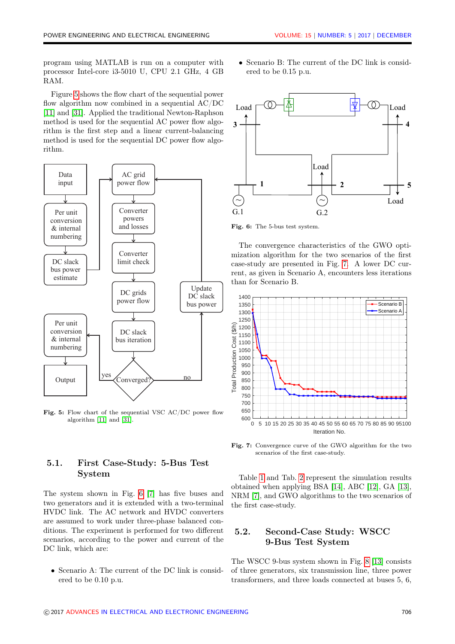program using MATLAB is run on a computer with processor Intel-core i3-5010 U, CPU 2.1 GHz, 4 GB RAM.

Figure [5](#page-5-0) shows the flow chart of the sequential power flow algorithm now combined in a sequential AC/DC [\[11\]](#page-9-4) and [\[31\]](#page-10-7). Applied the traditional Newton-Raphson method is used for the sequential AC power flow algorithm is the first step and a linear current-balancing method is used for the sequential DC power flow algorithm.

<span id="page-5-0"></span>

Fig. 5: Flow chart of the sequential VSC AC/DC power flow algorithm [\[11\]](#page-9-4) and [\[31\]](#page-10-7).

#### 5.1. First Case-Study: 5-Bus Test System

The system shown in Fig. [6](#page-5-1) [\[7\]](#page-9-0) has five buses and two generators and it is extended with a two-terminal HVDC link. The AC network and HVDC converters are assumed to work under three-phase balanced conditions. The experiment is performed for two different scenarios, according to the power and current of the DC link, which are:

• Scenario A: The current of the DC link is considered to be 0.10 p.u.

• Scenario B: The current of the DC link is considered to be 0.15 p.u.

<span id="page-5-1"></span>

Fig. 6: The 5-bus test system.

The convergence characteristics of the GWO optimization algorithm for the two scenarios of the first case-study are presented in Fig. [7.](#page-5-2) A lower DC current, as given in Scenario A, encounters less iterations than for Scenario B.

<span id="page-5-2"></span>

Fig. 7: Convergence curve of the GWO algorithm for the two scenarios of the first case-study.

Table [1](#page-6-0) and Tab. [2](#page-6-1) represent the simulation results obtained when applying BSA [\[14\]](#page-9-7), ABC [\[12\]](#page-9-5), GA [\[13\]](#page-9-6), NRM [\[7\]](#page-9-0), and GWO algorithms to the two scenarios of the first case-study.

#### 5.2. Second-Case Study: WSCC 9-Bus Test System

The WSCC 9-bus system shown in Fig. [8](#page-7-0) [\[13\]](#page-9-6) consists of three generators, six transmission line, three power transformers, and three loads connected at buses 5, 6,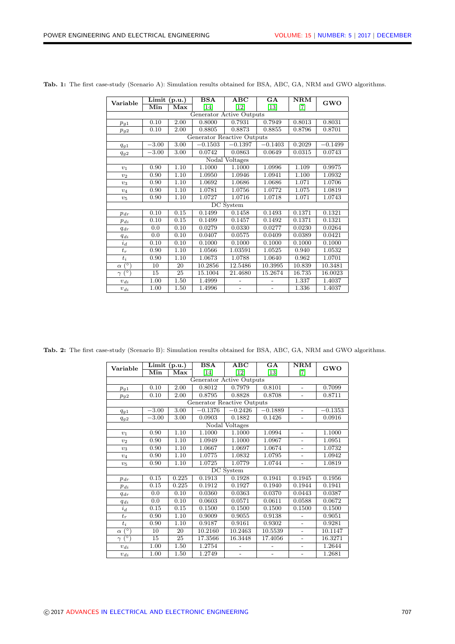|                            | $\overline{\text{Limit (p.u.)}}$ |             | <b>BSA</b> | ABC                      | $\overline{GA}$          | $\overline{\text{NRM}}$ |           |  |  |  |  |
|----------------------------|----------------------------------|-------------|------------|--------------------------|--------------------------|-------------------------|-----------|--|--|--|--|
| Variable                   | Min                              | ${\rm Max}$ | $[14]$     | $[12]$                   | $[13]$                   | [7]                     | GWO       |  |  |  |  |
| Generator Active Outputs   |                                  |             |            |                          |                          |                         |           |  |  |  |  |
| $p_{g1}$                   | 0.10                             | 2.00        | 0.8000     | 0.7931                   | 0.7949                   | 0.8013                  | 0.8031    |  |  |  |  |
| $p_{g2}$                   | 0.10                             | 2.00        | 0.8805     | 0.8873                   | 0.8855                   | 0.8796                  | 0.8701    |  |  |  |  |
| Generator Reactive Outputs |                                  |             |            |                          |                          |                         |           |  |  |  |  |
| $q_{g1}$                   | $-3.00$                          | 3.00        | $-0.1503$  | $-0.1397$                | $-0.1403$                | 0.2029                  | $-0.1499$ |  |  |  |  |
| $q_{g2}$                   | $-3.00$                          | 3.00        | 0.0742     | 0.0863                   | 0.0649                   | 0.0315                  | 0.0743    |  |  |  |  |
|                            |                                  |             |            | Nodal Voltages           |                          |                         |           |  |  |  |  |
| $v_1$                      | 0.90                             | 1.10        | 1.1000     | 1.1000                   | 1.0996                   | 1.109                   | 0.9975    |  |  |  |  |
| v <sub>2</sub>             | 0.90                             | 1.10        | 1.0950     | 1.0946                   | 1.0941                   | 1.100                   | 1.0932    |  |  |  |  |
| $v_3$                      | 0.90                             | 1.10        | 1.0692     | 1.0686                   | 1.0686                   | 1.071                   | 1.0706    |  |  |  |  |
| $v_4$                      | 0.90                             | 1.10        | 1.0781     | 1.0756                   | 1.0772                   | 1.075                   | 1.0819    |  |  |  |  |
| $v_5$                      | 0.90                             | 1.10        | 1.0727     | 1.0716                   | 1.0718                   | 1.071                   | 1.0743    |  |  |  |  |
|                            |                                  |             |            | DC System                |                          |                         |           |  |  |  |  |
| $p_{dr}$                   | 0.10                             | 0.15        | 0.1499     | 0.1458                   | 0.1493                   | 0.1371                  | 0.1321    |  |  |  |  |
| $p_{di}$                   | 0.10                             | 0.15        | 0.1499     | 0.1457                   | 0.1492                   | 0.1371                  | 0.1321    |  |  |  |  |
| $q_{dr}$                   | 0.0                              | 0.10        | 0.0279     | 0.0330                   | 0.0277                   | 0.0230                  | 0.0264    |  |  |  |  |
| $q_{di}$                   | 0.0                              | 0.10        | 0.0407     | 0.0575                   | 0.0409                   | 0.0389                  | 0.0421    |  |  |  |  |
| $i_d$                      | 0.10                             | 0.10        | 0.1000     | 0.1000                   | 0.1000                   | 0.1000                  | 0.1000    |  |  |  |  |
| $t_r$                      | 0.90                             | 1.10        | 1.0566     | 1.03591                  | 1.0525                   | 0.940                   | 1.0532    |  |  |  |  |
| $t_i$                      | 0.90                             | 1.10        | 1.0673     | 1.0788                   | 1.0640                   | 0.962                   | 1.0701    |  |  |  |  |
| $(\circ)$<br>$\alpha$      | 10                               | 20          | 10.2856    | 12.5486                  | 10.3995                  | 10.839                  | 10.3481   |  |  |  |  |
| $(\circ)$<br>$\gamma$      | 15                               | 25          | 15.1004    | 21.4680                  | 15.2674                  | 16.735                  | 16.0023   |  |  |  |  |
| $v_{di}$                   | 1.00                             | 1.50        | 1.4999     |                          |                          | 1.337                   | 1.4037    |  |  |  |  |
| $v_{di}$                   | 1.00                             | 1.50        | 1.4996     | $\overline{\phantom{a}}$ | $\overline{\phantom{a}}$ | 1.336                   | 1.4037    |  |  |  |  |

<span id="page-6-0"></span>Tab. 1: The first case-study (Scenario A): Simulation results obtained for BSA, ABC, GA, NRM and GWO algorithms.

<span id="page-6-1"></span>Tab. 2: The first case-study (Scenario B): Simulation results obtained for BSA, ABC, GA, NRM and GWO algorithms.

| $\overline{\text{Limit}}$ (p.u.)<br>Variable<br>Min |              |                         | <b>BSA</b> | ABC                      | GA                       | $\mathbf{N}\mathbf{R}\mathbf{M}$ | <b>GWO</b> |  |  |  |
|-----------------------------------------------------|--------------|-------------------------|------------|--------------------------|--------------------------|----------------------------------|------------|--|--|--|
|                                                     |              | $\overline{\text{Max}}$ | $[14]$     | $[12]$                   | $[13]$                   | [7]                              |            |  |  |  |
| Generator Active Outputs                            |              |                         |            |                          |                          |                                  |            |  |  |  |
| $p_{g1}$                                            | 0.10         | 2.00                    | 0.8012     | 0.7979                   | 0.8101                   | $\overline{\phantom{0}}$         | 0.7099     |  |  |  |
| $p_{g2}$                                            | 0.10         | 2.00                    | 0.8795     | 0.8828                   | 0.8708                   | $\overline{a}$                   | 0.8711     |  |  |  |
| Generator Reactive Outputs                          |              |                         |            |                          |                          |                                  |            |  |  |  |
| $q_{g1}$                                            | $-3.00$      | 3.00                    | $-0.1376$  | $-0.2426$                | $-0.1889$                | $\overline{a}$                   | $-0.1353$  |  |  |  |
| $q_{g2}$                                            | $-3.00$      | 3.00                    | 0.0903     | 0.1882                   | 0.1426                   | $\overline{a}$                   | 0.0916     |  |  |  |
|                                                     |              |                         |            | Nodal Voltages           |                          |                                  |            |  |  |  |
| $v_1$                                               | 0.90         | 1.10                    | 1.1000     | 1.1000                   | 1.0994                   | $\overline{\phantom{a}}$         | 1.1000     |  |  |  |
| $v_2$                                               | 0.90         | 1.10                    | 1.0949     | 1.1000                   | 1.0967                   | $\overline{\phantom{0}}$         | 1.0951     |  |  |  |
| $v_3$                                               | 0.90         | 1.10                    | 1.0667     | 1.0697                   | 1.0674                   | $\overline{a}$                   | 1.0732     |  |  |  |
| $v_4$                                               | 1.10<br>0.90 |                         | 1.0775     | 1.0832                   | 1.0795                   | $\overline{\phantom{0}}$         | 1.0942     |  |  |  |
| $v_5$                                               | 0.90         | 1.10                    | 1.0725     | 1.0779                   | 1.0744                   | $\overline{\phantom{0}}$         | 1.0819     |  |  |  |
|                                                     |              |                         |            | DC System                |                          |                                  |            |  |  |  |
| $p_{dr}$                                            | 0.15         | 0.225                   | 0.1913     | 0.1928                   | 0.1941                   | 0.1945                           | 0.1956     |  |  |  |
| $p_{di}$                                            | 0.15         | 0.225                   | 0.1912     | 0.1927                   | 0.1940                   | 0.1944                           | 0.1941     |  |  |  |
| $q_{dr}$                                            | 0.0          | 0.10                    | 0.0360     | 0.0363                   | 0.0370                   | 0.0443                           | 0.0387     |  |  |  |
| $q_{di}$                                            | 0.0          | 0.10                    | 0.0603     | 0.0571                   | 0.0611                   | 0.0588                           | 0.0672     |  |  |  |
| $i_d$                                               | 0.15         | 0.15                    | 0.1500     | 0.1500                   | 0.1500                   | 0.1500                           | 0.1500     |  |  |  |
| $t_r$                                               | 0.90         | 1.10                    | 0.9009     | 0.9055                   | 0.9138                   | $\overline{a}$                   | 0.9051     |  |  |  |
| $t_i$                                               | 0.90         | 1.10                    | 0.9187     | 0.9161                   | 0.9302                   | $\overline{\phantom{0}}$         | 0.9281     |  |  |  |
| $^{\circ}$ )<br>$\alpha$                            | 10           | 20                      | 10.2160    | 10.2463                  | 10.5539                  | $\overline{a}$                   | 10.1147    |  |  |  |
| $\overline{(\circ)}$<br>$\gamma$                    | 15           | 25                      | 17.3566    | 16.3448                  | 17.4056                  | $\overline{a}$                   | 16.3271    |  |  |  |
| $v_{di}$                                            | 1.00         | 1.50                    | 1.2754     | $\overline{\phantom{0}}$ | $\overline{\phantom{0}}$ | $\overline{\phantom{0}}$         | 1.2644     |  |  |  |
| $v_{di}$                                            | 1.00         | 1.50                    | 1.2749     | $\overline{\phantom{0}}$ |                          | $\overline{\phantom{0}}$         | 1.2681     |  |  |  |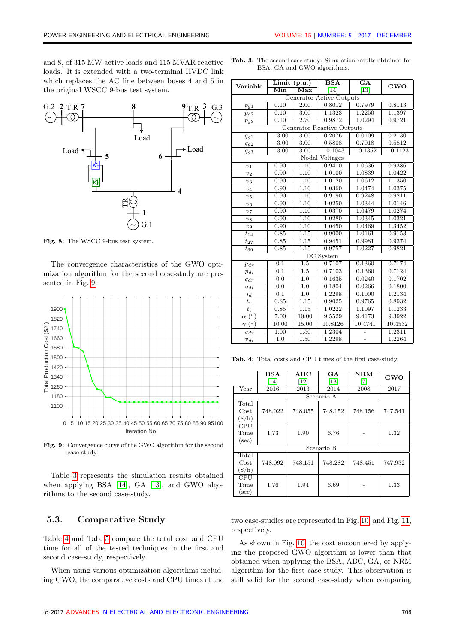and 8, of 315 MW active loads and 115 MVAR reactive loads. It is extended with a two-terminal HVDC link which replaces the AC line between buses 4 and 5 in the original WSCC 9-bus test system.

<span id="page-7-0"></span>

Fig. 8: The WSCC 9-bus test system.

The convergence characteristics of the GWO optimization algorithm for the second case-study are presented in Fig. [9.](#page-7-1)

<span id="page-7-1"></span>

Fig. 9: Convergence curve of the GWO algorithm for the second case-study.

Table [3](#page-7-2) represents the simulation results obtained when applying BSA [\[14\]](#page-9-7), GA [\[13\]](#page-9-6), and GWO algorithms to the second case-study.

#### 5.3. Comparative Study

Table [4](#page-7-3) and Tab. [5](#page-8-6) compare the total cost and CPU time for all of the tested techniques in the first and second case-study, respectively.

When using various optimization algorithms including GWO, the comparative costs and CPU times of the

| Variable                                  | $\overline{\text{Limit}}$ (p.u.) |                  | $\overline{\text{BSA}}$    | $\overline{\mathbf{G}\mathbf{A}}$ |           |  |  |
|-------------------------------------------|----------------------------------|------------------|----------------------------|-----------------------------------|-----------|--|--|
| Min                                       |                                  | Max              | $[14]$                     | $[13]$                            | GWO       |  |  |
| Generator Active Outputs                  |                                  |                  |                            |                                   |           |  |  |
| $p_{g1}$                                  | 0.10                             | 2.00             | 0.8012                     | 0.7979                            | 0.8113    |  |  |
| $p_{g2}$                                  | 0.10                             | 3.00             | 1.1323                     | 1.2250                            | 1.1397    |  |  |
| $p_{g3}$                                  | 0.10                             | 2.70             | 0.9872                     | 1.0294                            | 0.9721    |  |  |
|                                           |                                  |                  | Generator Reactive Outputs |                                   |           |  |  |
| $q_{g1}$                                  | $\overline{3.00}$                | 3.00             | 0.2076                     | 0.0109                            | 0.2130    |  |  |
| $q_{g2}$                                  | $-3.00$                          | 3.00             | 0.5808                     | 0.7018                            | 0.5812    |  |  |
| $q_{g3}$                                  | $-3.00$                          | 3.00             | $-0.1043$                  | $-0.1352$                         | $-0.1123$ |  |  |
|                                           |                                  |                  | Nodal Voltages             |                                   |           |  |  |
| $v_1$                                     | 0.90                             | 1.10             | 0.9410                     | 1.0636                            | 0.9386    |  |  |
| $v_2$                                     | 0.90                             | 1.10             | 1.0100                     | 1.0839                            | 1.0422    |  |  |
| $v_3$                                     | 0.90                             | 1.10             | 1.0120                     | 1.0612                            | 1.1350    |  |  |
| $v_4$                                     | 0.90                             | 1.10             | 1.0360                     | 1.0474                            | 1.0375    |  |  |
| $v_5$                                     | 0.90                             | 1.10             | 0.9190                     | 0.9248                            | 0.9211    |  |  |
| $v_6$                                     | 0.90                             | 1.10             | 1.0250                     | 1.0344                            | 1.0146    |  |  |
| $v_7$                                     | 0.90                             | 1.10             | 1.0370                     | 1.0479                            | 1.0274    |  |  |
| $\boldsymbol{v_8}$                        | 0.90                             | 1.10             | 1.0280                     | 1.0345                            | 1.0321    |  |  |
| $v_9$                                     | 0.90                             | 1.10             | 1.0450                     | 1.0469                            | 1.3452    |  |  |
| $t_{14}$                                  | 0.85                             | 1.15             | 0.9000                     | 1.0161                            | 0.9153    |  |  |
| $t_{27}$                                  | 0.85                             | 1.15             | 0.9451                     | 0.9981                            | 0.9374    |  |  |
| $t_{39}$                                  | 0.85                             | 1.15             | 0.9757                     | 1.0227                            | 0.9821    |  |  |
|                                           |                                  |                  | DC System                  |                                   |           |  |  |
| $p_{dr}$                                  | 0.1                              | 1.5              | 0.7107                     | 0.1360                            | 0.7174    |  |  |
| $p_{di}$                                  | 0.1                              | $\overline{1.5}$ | 0.7103                     | 0.1360                            | 0.7124    |  |  |
| $q_{dr}$                                  | $\overline{0.0}$                 | $\overline{1.0}$ | 0.1635                     | 0.0240                            | 0.1702    |  |  |
| $q_{di}$                                  | 0.0                              | 1.0              | 0.1804                     | 0.0266                            | 0.1800    |  |  |
| $i_d$                                     | 0.1                              | 1.0              | 1.2298                     | 0.1000                            | 1.2134    |  |  |
| $t_r$                                     | 0.85                             | 1.15             | 0.9025                     | 0.9765                            | 0.8932    |  |  |
| $t_i$                                     | 0.85                             | 1.15             | 1.0222                     | 1.1097                            | 1.1233    |  |  |
| (°)<br>$\alpha$                           | 7.00                             | 10.00            | 9.5529                     | 9.4173                            | 9.3922    |  |  |
| $\dot{\overline{(^{\circ})}}$<br>$\gamma$ | 10.00                            | 15.00            | 10.8126                    | 10.4741                           | 10.4532   |  |  |
| $v_{dr}$                                  | 1.00                             | 1.50             | 1.2304                     |                                   | 1.2311    |  |  |
| $v_{\textit{di}}$                         | 1.0                              | 1.50             | 1.2298                     | $\overline{a}$                    | 1.2264    |  |  |

<span id="page-7-2"></span>Tab. 3: The second case-study: Simulation results obtained for BSA, GA and GWO algorithms.

<span id="page-7-3"></span>Tab. 4: Total costs and CPU times of the first case-study.

|            | BSA        | ABC     | $G_{\mathbf{A}}$ | NRM     | <b>GWO</b> |  |
|------------|------------|---------|------------------|---------|------------|--|
|            | $[14]$     | $[12]$  | $[13]$           | [7]     |            |  |
| Year       | 2016       | 2013    | 2014             | 2008    | 2017       |  |
|            |            |         | Scenario A       |         |            |  |
| Total      |            |         |                  |         |            |  |
| Cost       | 748.022    | 748.055 | 748.152          | 748.156 | 747.541    |  |
| $(\$/h)$   |            |         |                  |         |            |  |
| <b>CPU</b> |            |         |                  |         |            |  |
| Time       | 1.73       | 1.90    | 6.76             |         | 1.32       |  |
| $(\sec)$   |            |         |                  |         |            |  |
|            | Scenario B |         |                  |         |            |  |
| Total      |            |         |                  |         |            |  |
| $\cos t$   | 748.092    | 748.151 | 748.282          | 748.451 | 747.932    |  |
| $(\$/h)$   |            |         |                  |         |            |  |
| CPU        |            |         |                  |         |            |  |
| Time       | 1.76       | 1.94    | 6.69             |         | 1.33       |  |
| $(\sec)$   |            |         |                  |         |            |  |

two case-studies are represented in Fig. [10,](#page-8-7) and Fig. [11,](#page-8-8) respectively.

As shown in Fig. [10,](#page-8-7) the cost encountered by applying the proposed GWO algorithm is lower than that obtained when applying the BSA, ABC, GA, or NRM algorithm for the first case-study. This observation is still valid for the second case-study when comparing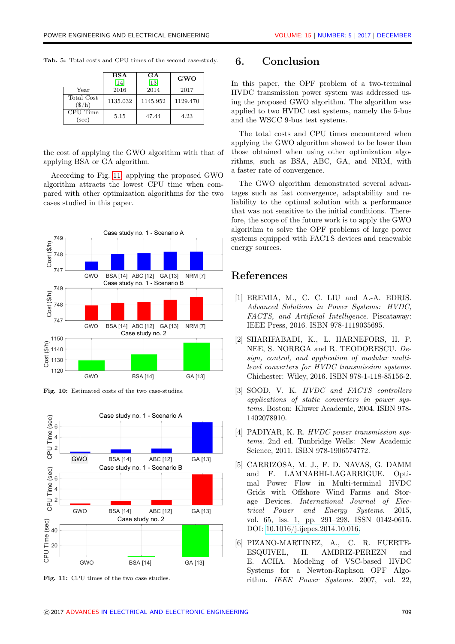<span id="page-8-6"></span>

|  |  |  |  |  | Tab. 5: Total costs and CPU times of the second case-study. |  |
|--|--|--|--|--|-------------------------------------------------------------|--|
|  |  |  |  |  |                                                             |  |

|                               | <b>BSA</b><br>[14] | GA<br>[13] | GWO      |
|-------------------------------|--------------------|------------|----------|
| Year                          | 2016               | 2014       | 2017     |
| Total Cost<br>$(\frac{1}{3})$ | 1135.032           | 1145.952   | 1129.470 |
| CPU Time<br>$(\sec)$          | 5.15               | 47.44      | 4.23     |

the cost of applying the GWO algorithm with that of applying BSA or GA algorithm.

According to Fig. [11,](#page-8-8) applying the proposed GWO algorithm attracts the lowest CPU time when compared with other optimization algorithms for the two cases studied in this paper.

<span id="page-8-7"></span>

Fig. 10: Estimated costs of the two case-studies.

<span id="page-8-8"></span>

Fig. 11: CPU times of the two case studies.

### 6. Conclusion

In this paper, the OPF problem of a two-terminal HVDC transmission power system was addressed using the proposed GWO algorithm. The algorithm was applied to two HVDC test systems, namely the 5-bus and the WSCC 9-bus test systems.

The total costs and CPU times encountered when applying the GWO algorithm showed to be lower than those obtained when using other optimization algorithms, such as BSA, ABC, GA, and NRM, with a faster rate of convergence.

The GWO algorithm demonstrated several advantages such as fast convergence, adaptability and reliability to the optimal solution with a performance that was not sensitive to the initial conditions. Therefore, the scope of the future work is to apply the GWO algorithm to solve the OPF problems of large power systems equipped with FACTS devices and renewable energy sources.

#### References

- <span id="page-8-0"></span>[1] EREMIA, M., C. C. LIU and A.-A. EDRIS. Advanced Solutions in Power Systems: HVDC, FACTS, and Artificial Intelligence. Piscataway: IEEE Press, 2016. ISBN 978-1119035695.
- <span id="page-8-1"></span>[2] SHARIFABADI, K., L. HARNEFORS, H. P. NEE, S. NORRGA and R. TEODORESCU. Design, control, and application of modular multilevel converters for HVDC transmission systems. Chichester: Wiley, 2016. ISBN 978-1-118-85156-2.
- <span id="page-8-2"></span>[3] SOOD, V. K. HVDC and FACTS controllers applications of static converters in power systems. Boston: Kluwer Academic, 2004. ISBN 978- 1402078910.
- <span id="page-8-3"></span>[4] PADIYAR, K. R. HVDC power transmission systems. 2nd ed. Tunbridge Wells: New Academic Science, 2011. ISBN 978-1906574772.
- <span id="page-8-4"></span>[5] CARRIZOSA, M. J., F. D. NAVAS, G. DAMM and F. LAMNABHI-LAGARRIGUE. Optimal Power Flow in Multi-terminal HVDC Grids with Offshore Wind Farms and Storage Devices. International Journal of Electrical Power and Energy Systems. 2015, vol. 65, iss. 1, pp. 291–298. ISSN 0142-0615. DOI: [10.1016/j.ijepes.2014.10.016.](https://doi.org/10.1016/j.ijepes.2014.10.016)
- <span id="page-8-5"></span>[6] PIZANO-MARTINEZ, A., C. R. FUERTE-ESQUIVEL, H. AMBRIZ-PEREZN and E. ACHA. Modeling of VSC-based HVDC Systems for a Newton-Raphson OPF Algorithm. IEEE Power Systems. 2007, vol. 22,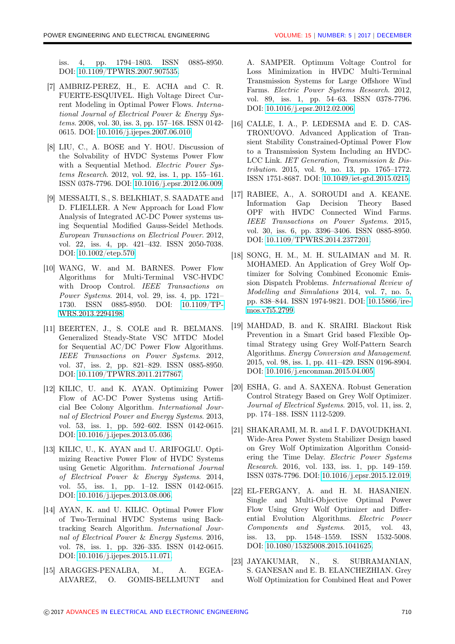iss. 4, pp. 1794–1803. ISSN 0885-8950. DOI: [10.1109/TPWRS.2007.907535.](https://doi.org/10.1109/TPWRS.2007.907535)

- <span id="page-9-0"></span>[7] AMBRIZ-PEREZ, H., E. ACHA and C. R. FUERTE-ESQUIVEL. High Voltage Direct Current Modeling in Optimal Power Flows. International Journal of Electrical Power & Energy Systems. 2008, vol. 30, iss. 3, pp. 157–168. ISSN 0142- 0615. DOI: [10.1016/j.ijepes.2007.06.010.](https://doi.org/10.1016/j.ijepes.2007.06.010)
- <span id="page-9-1"></span>[8] LIU, C., A. BOSE and Y. HOU. Discussion of the Solvability of HVDC Systems Power Flow with a Sequential Method. Electric Power Systems Research. 2012, vol. 92, iss. 1, pp. 155–161. ISSN 0378-7796. DOI: [10.1016/j.epsr.2012.06.009.](https://doi.org/10.1016/j.epsr.2012.06.009)
- <span id="page-9-2"></span>[9] MESSALTI, S., S. BELKHIAT, S. SAADATE and D. FLIELLER. A New Approach for Load Flow Analysis of Integrated AC-DC Power systems using Sequential Modified Gauss-Seidel Methods. European Transactions on Electrical Power. 2012, vol. 22, iss. 4, pp. 421–432. ISSN 2050-7038. DOI: [10.1002/etep.570.](https://doi.org/10.1002/etep.570)
- <span id="page-9-3"></span>[10] WANG, W. and M. BARNES. Power Flow Algorithms for Multi-Terminal VSC-HVDC with Droop Control. IEEE Transactions on Power Systems. 2014, vol. 29, iss. 4, pp. 1721– 1730. ISSN 0885-8950. DOI: [10.1109/TP-](https://doi.org/10.1109/TPWRS.2013.2294198)[WRS.2013.2294198.](https://doi.org/10.1109/TPWRS.2013.2294198)
- <span id="page-9-4"></span>[11] BEERTEN, J., S. COLE and R. BELMANS. Generalized Steady-State VSC MTDC Model for Sequential AC/DC Power Flow Algorithms. IEEE Transactions on Power Systems. 2012, vol. 37, iss. 2, pp. 821–829. ISSN 0885-8950. DOI: [10.1109/TPWRS.2011.2177867.](https://doi.org/10.1109/TPWRS.2011.2177867)
- <span id="page-9-5"></span>[12] KILIC, U. and K. AYAN. Optimizing Power Flow of AC-DC Power Systems using Artificial Bee Colony Algorithm. International Journal of Electrical Power and Energy Systems. 2013, vol. 53, iss. 1, pp. 592–602. ISSN 0142-0615. DOI: [10.1016/j.ijepes.2013.05.036.](https://doi.org/10.1016/j.ijepes.2013.05.036)
- <span id="page-9-6"></span>[13] KILIC, U., K. AYAN and U. ARIFOGLU. Optimizing Reactive Power Flow of HVDC Systems using Genetic Algorithm. International Journal of Electrical Power & Energy Systems. 2014, vol. 55, iss. 1, pp. 1–12. ISSN 0142-0615. DOI: [10.1016/j.ijepes.2013.08.006.](https://doi.org/10.1016/j.ijepes.2013.08.006)
- <span id="page-9-7"></span>[14] AYAN, K. and U. KILIC. Optimal Power Flow of Two-Terminal HVDC Systems using Backtracking Search Algorithm. International Journal of Electrical Power & Energy Systems. 2016, vol. 78, iss. 1, pp. 326–335. ISSN 0142-0615. DOI: [10.1016/j.ijepes.2015.11.071.](https://doi.org/10.1016/j.ijepes.2015.11.071)
- <span id="page-9-8"></span>[15] ARAGGES-PENALBA, M., A. EGEA-ALVAREZ, O. GOMIS-BELLMUNT and

A. SAMPER. Optimum Voltage Control for Loss Minimization in HVDC Multi-Terminal Transmission Systems for Large Offshore Wind Farms. Electric Power Systems Research. 2012, vol. 89, iss. 1, pp. 54–63. ISSN 0378-7796. DOI: [10.1016/j.epsr.2012.02.006.](https://doi.org/10.1016/j.epsr.2012.02.006)

- <span id="page-9-9"></span>[16] CALLE, I. A., P. LEDESMA and E. D. CAS-TRONUOVO. Advanced Application of Transient Stability Constrained-Optimal Power Flow to a Transmission System Including an HVDC-LCC Link. IET Generation, Transmission & Distribution. 2015, vol. 9, no. 13, pp. 1765–1772. ISSN 1751-8687. DOI: [10.1049/iet-gtd.2015.0215.](https://doi.org/10.1049/iet-gtd.2015.0215)
- <span id="page-9-10"></span>[17] RABIEE, A., A. SOROUDI and A. KEANE. Information Gap Decision Theory Based OPF with HVDC Connected Wind Farms. IEEE Transactions on Power Systems. 2015, vol. 30, iss. 6, pp. 3396–3406. ISSN 0885-8950. DOI: [10.1109/TPWRS.2014.2377201.](https://doi.org/10.1109/TPWRS.2014.2377201)
- <span id="page-9-11"></span>[18] SONG, H. M., M. H. SULAIMAN and M. R. MOHAMED. An Application of Grey Wolf Optimizer for Solving Combined Economic Emission Dispatch Problems. International Review of Modelling and Simulations 2014, vol. 7, no. 5, pp. 838–844. ISSN 1974-9821. DOI: [10.15866/ire](https://doi.org/10.15866/iremos.v7i5.2799)[mos.v7i5.2799.](https://doi.org/10.15866/iremos.v7i5.2799)
- <span id="page-9-12"></span>[19] MAHDAD, B. and K. SRAIRI. Blackout Risk Prevention in a Smart Grid based Flexible Optimal Strategy using Grey Wolf-Pattern Search Algorithms. Energy Conversion and Management. 2015, vol. 98, iss. 1, pp. 411–429. ISSN 0196-8904. DOI: [10.1016/j.enconman.2015.04.005.](https://doi.org/10.1016/j.enconman.2015.04.005)
- <span id="page-9-13"></span>[20] ESHA, G. and A. SAXENA. Robust Generation Control Strategy Based on Grey Wolf Optimizer. Journal of Electrical Systems. 2015, vol. 11, iss. 2, pp. 174–188. ISSN 1112-5209.
- <span id="page-9-14"></span>[21] SHAKARAMI, M. R. and I. F. DAVOUDKHANI. Wide-Area Power System Stabilizer Design based on Grey Wolf Optimization Algorithm Considering the Time Delay. Electric Power Systems Research. 2016, vol. 133, iss. 1, pp. 149–159. ISSN 0378-7796. DOI: [10.1016/j.epsr.2015.12.019.](https://doi.org/10.1016/j.epsr.2015.12.019)
- <span id="page-9-15"></span>[22] EL-FERGANY, A. and H. M. HASANIEN. Single and Multi-Objective Optimal Power Flow Using Grey Wolf Optimizer and Differential Evolution Algorithms. Electric Power Components and Systems. 2015, vol. 43, iss. 13, pp. 1548–1559. ISSN 1532-5008. DOI: [10.1080/15325008.2015.1041625.](https://doi.org/10.1080/15325008.2015.1041625)
- <span id="page-9-16"></span>[23] JAYAKUMAR, N., S. SUBRAMANIAN, S. GANESAN and E. B. ELANCHEZHIAN. Grey Wolf Optimization for Combined Heat and Power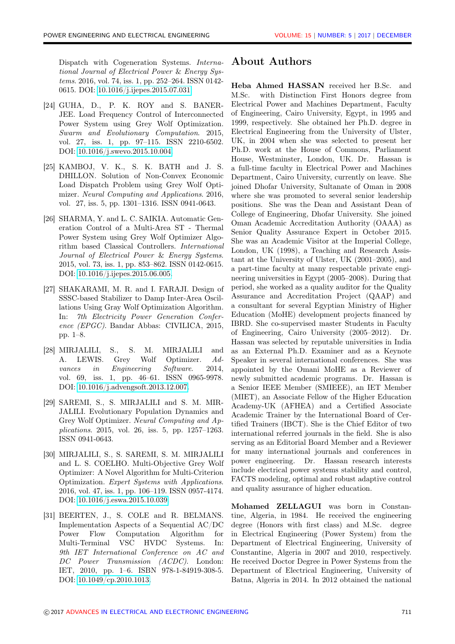Dispatch with Cogeneration Systems. International Journal of Electrical Power & Energy Systems. 2016, vol. 74, iss. 1, pp. 252–264. ISSN 0142- 0615. DOI: [10.1016/j.ijepes.2015.07.031.](https://doi.org/10.1016/j.ijepes.2015.07.031)

- <span id="page-10-0"></span>[24] GUHA, D., P. K. ROY and S. BANER-JEE. Load Frequency Control of Interconnected Power System using Grey Wolf Optimization. Swarm and Evolutionary Computation. 2015, vol. 27, iss. 1, pp. 97–115. ISSN 2210-6502. DOI: [10.1016/j.swevo.2015.10.004.](https://doi.org/10.1016/j.swevo.2015.10.004)
- <span id="page-10-1"></span>[25] KAMBOJ, V. K., S. K. BATH and J. S. DHILLON. Solution of Non-Convex Economic Load Dispatch Problem using Grey Wolf Optimizer. Neural Computing and Applications. 2016, vol. 27, iss. 5, pp. 1301–1316. ISSN 0941-0643.
- <span id="page-10-2"></span>[26] SHARMA, Y. and L. C. SAIKIA. Automatic Generation Control of a Multi-Area ST - Thermal Power System using Grey Wolf Optimizer Algorithm based Classical Controllers. International Journal of Electrical Power & Energy Systems. 2015, vol. 73, iss. 1, pp. 853–862. ISSN 0142-0615. DOI: [10.1016/j.ijepes.2015.06.005.](https://doi.org/10.1016/j.ijepes.2015.06.005)
- <span id="page-10-3"></span>[27] SHAKARAMI, M. R. and I. FARAJI. Design of SSSC-based Stabilizer to Damp Inter-Area Oscillations Using Gray Wolf Optimization Algorithm. In: 7th Electricity Power Generation Conference (EPGC). Bandar Abbas: CIVILICA, 2015, pp. 1–8.
- <span id="page-10-4"></span>[28] MIRJALILI, S., S. M. MIRJALILI and A. LEWIS. Grey Wolf Optimizer. Advances in Engineering Software. 2014, vol. 69, iss. 1, pp. 46–61. ISSN 0965-9978. DOI: [10.1016/j.advengsoft.2013.12.007.](https://doi.org/10.1016/j.advengsoft.2013.12.007)
- <span id="page-10-5"></span>[29] SAREMI, S., S. MIRJALILI and S. M. MIR-JALILI. Evolutionary Population Dynamics and Grey Wolf Optimizer. Neural Computing and Applications. 2015, vol. 26, iss. 5, pp. 1257–1263. ISSN 0941-0643.
- <span id="page-10-6"></span>[30] MIRJALILI, S., S. SAREMI, S. M. MIRJALILI and L. S. COELHO. Multi-Objective Grey Wolf Optimizer: A Novel Algorithm for Multi-Criterion Optimization. Expert Systems with Applications. 2016, vol. 47, iss. 1, pp. 106–119. ISSN 0957-4174. DOI: [10.1016/j.eswa.2015.10.039.](https://doi.org/10.1016/j.eswa.2015.10.039)
- <span id="page-10-7"></span>[31] BEERTEN, J., S. COLE and R. BELMANS. Implementation Aspects of a Sequential AC/DC Power Flow Computation Algorithm for Multi-Terminal VSC HVDC Systems. In: 9th IET International Conference on AC and DC Power Transmission (ACDC). London: IET, 2010, pp. 1–6. ISBN 978-1-84919-308-5. DOI: [10.1049/cp.2010.1013.](https://doi.org/10.1049/cp.2010.1013)

## About Authors

Heba Ahmed HASSAN received her B.Sc. and M.Sc. with Distinction First Honors degree from Electrical Power and Machines Department, Faculty of Engineering, Cairo University, Egypt, in 1995 and 1999, respectively. She obtained her Ph.D. degree in Electrical Engineering from the University of Ulster, UK, in 2004 when she was selected to present her Ph.D. work at the House of Commons, Parliament House, Westminster, London, UK. Dr. Hassan is a full-time faculty in Electrical Power and Machines Department, Cairo University, currently on leave. She joined Dhofar University, Sultanate of Oman in 2008 where she was promoted to several senior leadership positions. She was the Dean and Assistant Dean of College of Engineering, Dhofar University. She joined Oman Academic Accreditation Authority (OAAA) as Senior Quality Assurance Expert in October 2015. She was an Academic Visitor at the Imperial College, London, UK (1998), a Teaching and Research Assistant at the University of Ulster, UK (2001–2005), and a part-time faculty at many respectable private engineering universities in Egypt (2005–2008). During that period, she worked as a quality auditor for the Quality Assurance and Accreditation Project (QAAP) and a consultant for several Egyptian Ministry of Higher Education (MoHE) development projects financed by IBRD. She co-supervised master Students in Faculty of Engineering, Cairo University (2005–2012). Dr. Hassan was selected by reputable universities in India as an External Ph.D. Examiner and as a Keynote Speaker in several international conferences. She was appointed by the Omani MoHE as a Reviewer of newly submitted academic programs. Dr. Hassan is a Senior IEEE Member (SMIEEE), an IET Member (MIET), an Associate Fellow of the Higher Education Academy-UK (AFHEA) and a Certified Associate Academic Trainer by the International Board of Certified Trainers (IBCT). She is the Chief Editor of two international referred journals in the field. She is also serving as an Editorial Board Member and a Reviewer for many international journals and conferences in power engineering. Dr. Hassan research interests include electrical power systems stability and control, FACTS modeling, optimal and robust adaptive control and quality assurance of higher education.

Mohamed ZELLAGUI was born in Constantine, Algeria, in 1984. He received the engineering degree (Honors with first class) and M.Sc. degree in Electrical Engineering (Power System) from the Department of Electrical Engineering, University of Constantine, Algeria in 2007 and 2010, respectively. He received Doctor Degree in Power Systems from the Department of Electrical Engineering, University of Batna, Algeria in 2014. In 2012 obtained the national